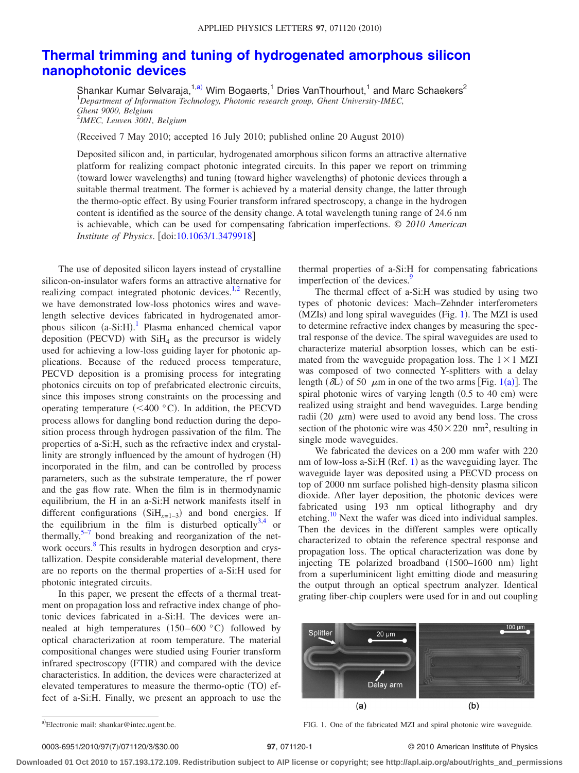## **[Thermal trimming and tuning of hydrogenated amorphous silicon](http://dx.doi.org/10.1063/1.3479918) [nanophotonic devices](http://dx.doi.org/10.1063/1.3479918)**

Shankar Kumar Selvaraja,<sup>1[,a](#page-0-0))</sup> Wim Bogaerts,<sup>1</sup> Dries VanThourhout,<sup>1</sup> and Marc Schaekers<sup>2</sup> 1 *Department of Information Technology, Photonic research group, Ghent University-IMEC, Ghent 9000, Belgium* 2 *IMEC, Leuven 3001, Belgium*

(Received 7 May 2010; accepted 16 July 2010; published online 20 August 2010)

Deposited silicon and, in particular, hydrogenated amorphous silicon forms an attractive alternative platform for realizing compact photonic integrated circuits. In this paper we report on trimming (toward lower wavelengths) and tuning (toward higher wavelengths) of photonic devices through a suitable thermal treatment. The former is achieved by a material density change, the latter through the thermo-optic effect. By using Fourier transform infrared spectroscopy, a change in the hydrogen content is identified as the source of the density change. A total wavelength tuning range of 24.6 nm is achievable, which can be used for compensating fabrication imperfections. © *2010 American Institute of Physics.* [doi[:10.1063/1.3479918](http://dx.doi.org/10.1063/1.3479918)]

The use of deposited silicon layers instead of crystalline silicon-on-insulator wafers forms an attractive alternative for realizing compact integrated photonic devices. $1,2$  $1,2$  Recently, we have demonstrated low-loss photonics wires and wavelength selective devices fabricated in hydrogenated amor-phous silicon (a-Si:H).<sup>[1](#page-2-0)</sup> Plasma enhanced chemical vapor deposition (PECVD) with  $SiH<sub>4</sub>$  as the precursor is widely used for achieving a low-loss guiding layer for photonic applications. Because of the reduced process temperature, PECVD deposition is a promising process for integrating photonics circuits on top of prefabricated electronic circuits, since this imposes strong constraints on the processing and operating temperature ( $\leq 400$  °C). In addition, the PECVD process allows for dangling bond reduction during the deposition process through hydrogen passivation of the film. The properties of a-Si:H, such as the refractive index and crystallinity are strongly influenced by the amount of hydrogen (H) incorporated in the film, and can be controlled by process parameters, such as the substrate temperature, the rf power and the gas flow rate. When the film is in thermodynamic equilibrium, the H in an a-Si:H network manifests itself in different configurations  $(SiH<sub>x=1-3</sub>)$  and bond energies. If the equilibrium in the film is disturbed optically  $3,4$  $3,4$  or thermally, $5-7$  bond breaking and reorganization of the network occurs.<sup>8</sup> This results in hydrogen desorption and crystallization. Despite considerable material development, there are no reports on the thermal properties of a-Si:H used for photonic integrated circuits.

In this paper, we present the effects of a thermal treatment on propagation loss and refractive index change of photonic devices fabricated in a-Si:H. The devices were annealed at high temperatures  $(150-600 °C)$  followed by optical characterization at room temperature. The material compositional changes were studied using Fourier transform infrared spectroscopy (FTIR) and compared with the device characteristics. In addition, the devices were characterized at elevated temperatures to measure the thermo-optic (TO) effect of a-Si:H. Finally, we present an approach to use the

thermal properties of a-Si:H for compensating fabrications imperfection of the devices.<sup>9</sup>

The thermal effect of a-Si:H was studied by using two types of photonic devices: Mach–Zehnder interferometers (MZIs) and long spiral waveguides (Fig. [1](#page-0-1)). The MZI is used to determine refractive index changes by measuring the spectral response of the device. The spiral waveguides are used to characterize material absorption losses, which can be estimated from the waveguide propagation loss. The  $1 \times 1$  MZI was composed of two connected Y-splitters with a delay length  $(\delta L)$  of 50  $\mu$ m in one of the two arms [Fig. [1](#page-0-1)(a)]. The spiral photonic wires of varying length  $(0.5$  to  $40$  cm) were realized using straight and bend waveguides. Large bending radii (20  $\mu$ m) were used to avoid any bend loss. The cross section of the photonic wire was  $450 \times 220$  nm<sup>2</sup>, resulting in single mode waveguides.

We fabricated the devices on a 200 mm wafer with 220 nm of low-loss a-Si:H (Ref. [1](#page-2-0)) as the waveguiding layer. The waveguide layer was deposited using a PECVD process on top of 2000 nm surface polished high-density plasma silicon dioxide. After layer deposition, the photonic devices were fabricated using 193 nm optical lithography and dry etching.<sup>10</sup> Next the wafer was diced into individual samples. Then the devices in the different samples were optically characterized to obtain the reference spectral response and propagation loss. The optical characterization was done by injecting TE polarized broadband (1500-1600 nm) light from a superluminicent light emitting diode and measuring the output through an optical spectrum analyzer. Identical grating fiber-chip couplers were used for in and out coupling

<span id="page-0-1"></span>

<span id="page-0-0"></span>a)Electronic mail: shankar@intec.ugent.be.

FIG. 1. One of the fabricated MZI and spiral photonic wire waveguide.

## /071120/3/\$30.00 © 2010 American Institute of Physics **97**, 071120-1

**Downloaded 01 Oct 2010 to 157.193.172.109. Redistribution subject to AIP license or copyright; see http://apl.aip.org/about/rights\_and\_permissions**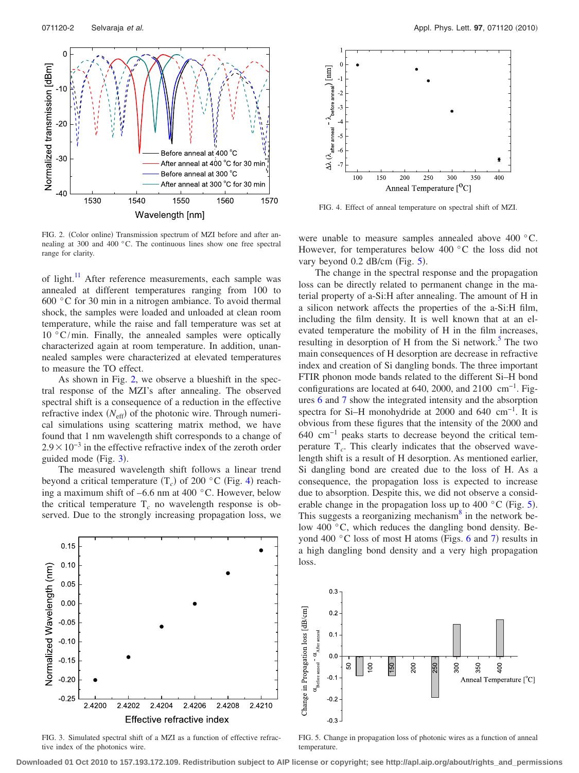<span id="page-1-0"></span>

FIG. 2. (Color online) Transmission spectrum of MZI before and after annealing at 300 and 400 °C. The continuous lines show one free spectral range for clarity.

of light.<sup>11</sup> After reference measurements, each sample was annealed at different temperatures ranging from 100 to 600 °C for 30 min in a nitrogen ambiance. To avoid thermal shock, the samples were loaded and unloaded at clean room temperature, while the raise and fall temperature was set at 10 °C/min. Finally, the annealed samples were optically characterized again at room temperature. In addition, unannealed samples were characterized at elevated temperatures to measure the TO effect.

As shown in Fig. [2,](#page-1-0) we observe a blueshift in the spectral response of the MZI's after annealing. The observed spectral shift is a consequence of a reduction in the effective refractive index (N<sub>eff</sub>) of the photonic wire. Through numerical simulations using scattering matrix method, we have found that 1 nm wavelength shift corresponds to a change of  $2.9 \times 10^{-3}$  in the effective refractive index of the zeroth order guided mode (Fig. [3](#page-1-1)).

The measured wavelength shift follows a linear trend beyond a critical temperature  $(T_c)$  of 200 °C (Fig. [4](#page-1-2)) reaching a maximum shift of –6.6 nm at 400 °C. However, below the critical temperature  $T_c$  no wavelength response is observed. Due to the strongly increasing propagation loss, we

<span id="page-1-2"></span>

FIG. 4. Effect of anneal temperature on spectral shift of MZI.

were unable to measure samples annealed above 400 °C. However, for temperatures below 400 °C the loss did not vary beyond  $0.2$  dB/cm (Fig. [5](#page-1-3)).

The change in the spectral response and the propagation loss can be directly related to permanent change in the material property of a-Si:H after annealing. The amount of H in a silicon network affects the properties of the a-Si:H film, including the film density. It is well known that at an elevated temperature the mobility of H in the film increases, resulting in desorption of  $H$  from the Si network.<sup>5</sup> The two main consequences of H desorption are decrease in refractive index and creation of Si dangling bonds. The three important FTIR phonon mode bands related to the different Si–H bond configurations are located at 640, 2000, and 2100 cm−1. Figures [6](#page-2-10) and [7](#page-2-11) show the integrated intensity and the absorption spectra for Si–H monohydride at 2000 and 640 cm<sup>-1</sup>. It is obvious from these figures that the intensity of the 2000 and 640 cm−1 peaks starts to decrease beyond the critical temperature T*c*. This clearly indicates that the observed wavelength shift is a result of H desorption. As mentioned earlier, Si dangling bond are created due to the loss of H. As a consequence, the propagation loss is expected to increase due to absorption. Despite this, we did not observe a considerable change in the propagation loss up to 400  $^{\circ}$ C (Fig. [5](#page-1-3)). This suggests a reorganizing mechanism $\delta$  in the network below 400 °C, which reduces the dangling bond density. Beyond 400 $\degree$ C loss of most H atoms (Figs. [6](#page-2-10) and [7](#page-2-11)) results in a high dangling bond density and a very high propagation loss.

<span id="page-1-1"></span>

FIG. 3. Simulated spectral shift of a MZI as a function of effective refractive index of the photonics wire.

Change in Propagation loss [dB/cm]  $0.2$  $\alpha_{\rm before\; anneal}$  –  $\alpha_{\rm After\; anneal}$  $0.1$  $0.0$ 8  $\frac{150}{ }$ 200  $300$ 350  $\frac{6}{2}$ 250  $-0.7$ Anneal Temperature [°C]  $-0.2$  $-0.3$ 

FIG. 5. Change in propagation loss of photonic wires as a function of anneal temperature.

**Downloaded 01 Oct 2010 to 157.193.172.109. Redistribution subject to AIP license or copyright; see http://apl.aip.org/about/rights\_and\_permissions**

<span id="page-1-3"></span> $0.3$